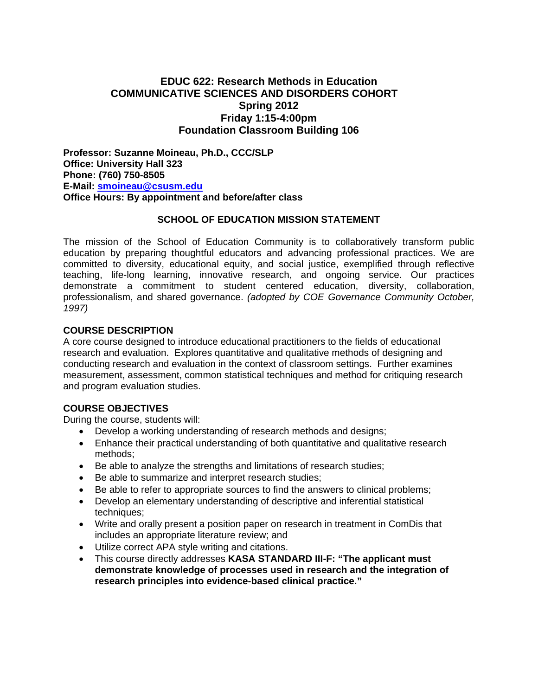# **EDUC 622: Research Methods in Education COMMUNICATIVE SCIENCES AND DISORDERS COHORT Spring 2012 Friday 1:15-4:00pm Foundation Classroom Building 106**

**Professor: Suzanne Moineau, Ph.D., CCC/SLP Office: University Hall 323 Phone: (760) 750-8505 E-Mail: smoineau@csusm.edu Office Hours: By appointment and before/after class** 

### **SCHOOL OF EDUCATION MISSION STATEMENT**

The mission of the School of Education Community is to collaboratively transform public education by preparing thoughtful educators and advancing professional practices. We are committed to diversity, educational equity, and social justice, exemplified through reflective teaching, life-long learning, innovative research, and ongoing service. Our practices demonstrate a commitment to student centered education, diversity, collaboration, professionalism, and shared governance. *(adopted by COE Governance Community October, 1997)* 

### **COURSE DESCRIPTION**

A core course designed to introduce educational practitioners to the fields of educational research and evaluation. Explores quantitative and qualitative methods of designing and conducting research and evaluation in the context of classroom settings. Further examines measurement, assessment, common statistical techniques and method for critiquing research and program evaluation studies.

## **COURSE OBJECTIVES**

During the course, students will:

- Develop a working understanding of research methods and designs;
- methods; Enhance their practical understanding of both quantitative and qualitative research
- Be able to analyze the strengths and limitations of research studies;
- Be able to summarize and interpret research studies;
- Be able to refer to appropriate sources to find the answers to clinical problems;
- techniques; Develop an elementary understanding of descriptive and inferential statistical
- includes an appropriate literature review; and Write and orally present a position paper on research in treatment in ComDis that
- Utilize correct APA style writing and citations.
- This course directly addresses **KASA STANDARD III-F: "The applicant must demonstrate knowledge of processes used in research and the integration of research principles into evidence-based clinical practice."**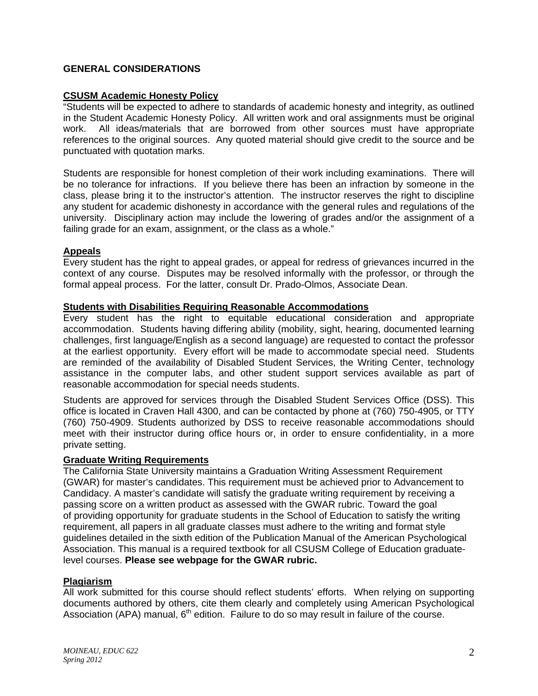## **GENERAL CONSIDERATIONS**

### **CSUSM Academic Honesty Policy**

"Students will be expected to adhere to standards of academic honesty and integrity, as outlined in the Student Academic Honesty Policy. All written work and oral assignments must be original work. All ideas/materials that are borrowed from other sources must have appropriate references to the original sources. Any quoted material should give credit to the source and be punctuated with quotation marks.

Students are responsible for honest completion of their work including examinations. There will be no tolerance for infractions. If you believe there has been an infraction by someone in the class, please bring it to the instructor's attention. The instructor reserves the right to discipline any student for academic dishonesty in accordance with the general rules and regulations of the university. Disciplinary action may include the lowering of grades and/or the assignment of a failing grade for an exam, assignment, or the class as a whole."

### **Appeals**

Every student has the right to appeal grades, or appeal for redress of grievances incurred in the context of any course. Disputes may be resolved informally with the professor, or through the formal appeal process. For the latter, consult Dr. Prado-Olmos, Associate Dean.

### **Students with Disabilities Requiring Reasonable Accommodations**

Every student has the right to equitable educational consideration and appropriate accommodation. Students having differing ability (mobility, sight, hearing, documented learning challenges, first language/English as a second language) are requested to contact the professor at the earliest opportunity. Every effort will be made to accommodate special need. Students are reminded of the availability of Disabled Student Services, the Writing Center, technology assistance in the computer labs, and other student support services available as part of reasonable accommodation for special needs students.

Students are approved for services through the Disabled Student Services Office (DSS). This office is located in Craven Hall 4300, and can be contacted by phone at (760) 750-4905, or TTY (760) 750-4909. Students authorized by DSS to receive reasonable accommodations should meet with their instructor during office hours or, in order to ensure confidentiality, in a more private setting.

#### **Graduate Writing Requirements**

The California State University maintains a Graduation Writing Assessment Requirement (GWAR) for master's candidates. This requirement must be achieved prior to Advancement to Candidacy. A master's candidate will satisfy the graduate writing requirement by receiving a passing score on a written product as assessed with the GWAR rubric. Toward the goal of providing opportunity for graduate students in the School of Education to satisfy the writing requirement, all papers in all graduate classes must adhere to the writing and format style guidelines detailed in the sixth edition of the Publication Manual of the American Psychological Association. This manual is a required textbook for all CSUSM College of Education graduatelevel courses. **Please see webpage for the GWAR rubric.** 

#### **Plagiarism**

All work submitted for this course should reflect students' efforts. When relying on supporting documents authored by others, cite them clearly and completely using American Psychological Association (APA) manual,  $6<sup>th</sup>$  edition. Failure to do so may result in failure of the course.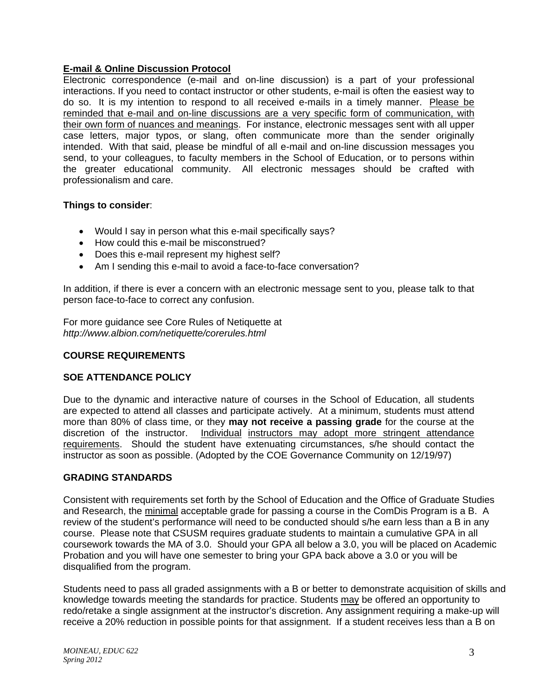## **E-mail & Online Discussion Protocol**

Electronic correspondence (e-mail and on-line discussion) is a part of your professional interactions. If you need to contact instructor or other students, e-mail is often the easiest way to do so. It is my intention to respond to all received e-mails in a timely manner. Please be reminded that e-mail and on-line discussions are a very specific form of communication, with their own form of nuances and meanings. For instance, electronic messages sent with all upper case letters, major typos, or slang, often communicate more than the sender originally intended. With that said, please be mindful of all e-mail and on-line discussion messages you send, to your colleagues, to faculty members in the School of Education, or to persons within the greater educational community. All electronic messages should be crafted with professionalism and care.

## **Things to consider**:

- Would I say in person what this e-mail specifically says?
- How could this e-mail be misconstrued?
- Does this e-mail represent my highest self?
- Am I sending this e-mail to avoid a face-to-face conversation?

In addition, if there is ever a concern with an electronic message sent to you, please talk to that person face-to-face to correct any confusion.

For more guidance see Core Rules of Netiquette at *http://www.albion.com/netiquette/corerules.html* 

# **COURSE REQUIREMENTS**

## **SOE ATTENDANCE POLICY**

discretion of the instructor. Individual instructors may adopt more stringent attendance Due to the dynamic and interactive nature of courses in the School of Education, all students are expected to attend all classes and participate actively. At a minimum, students must attend more than 80% of class time, or they **may not receive a passing grade** for the course at the requirements. Should the student have extenuating circumstances, s/he should contact the instructor as soon as possible. (Adopted by the COE Governance Community on 12/19/97)

## **GRADING STANDARDS**

Consistent with requirements set forth by the School of Education and the Office of Graduate Studies and Research, the minimal acceptable grade for passing a course in the ComDis Program is a B. A review of the student's performance will need to be conducted should s/he earn less than a B in any course. Please note that CSUSM requires graduate students to maintain a cumulative GPA in all coursework towards the MA of 3.0. Should your GPA all below a 3.0, you will be placed on Academic Probation and you will have one semester to bring your GPA back above a 3.0 or you will be disqualified from the program.

Students need to pass all graded assignments with a B or better to demonstrate acquisition of skills and knowledge towards meeting the standards for practice. Students may be offered an opportunity to redo/retake a single assignment at the instructor's discretion. Any assignment requiring a make-up will receive a 20% reduction in possible points for that assignment. If a student receives less than a B on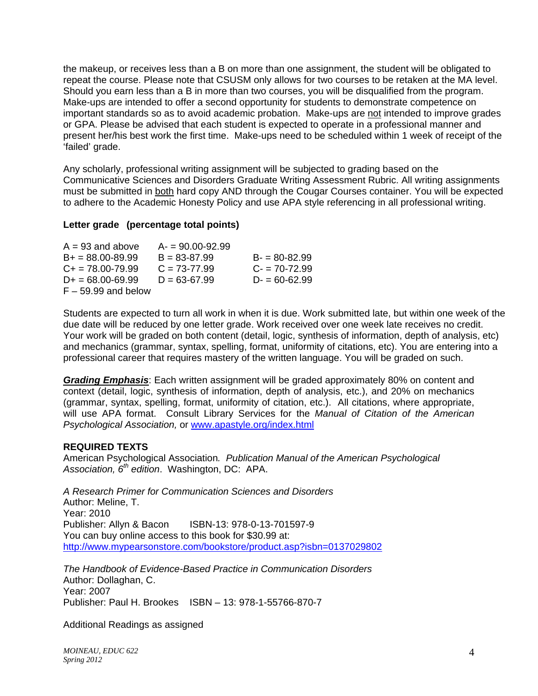the makeup, or receives less than a B on more than one assignment, the student will be obligated to repeat the course. Please note that CSUSM only allows for two courses to be retaken at the MA level. Should you earn less than a B in more than two courses, you will be disqualified from the program. Make-ups are intended to offer a second opportunity for students to demonstrate competence on important standards so as to avoid academic probation. Make-ups are not intended to improve grades or GPA. Please be advised that each student is expected to operate in a professional manner and present her/his best work the first time. Make-ups need to be scheduled within 1 week of receipt of the 'failed' grade.

Any scholarly, professional writing assignment will be subjected to grading based on the Communicative Sciences and Disorders Graduate Writing Assessment Rubric. All writing assignments must be submitted in both hard copy AND through the Cougar Courses container. You will be expected to adhere to the Academic Honesty Policy and use APA style referencing in all professional writing.

### **Letter grade (percentage total points)**

| $A = 93$ and above    | $A = 90.00 - 92.99$ |                  |
|-----------------------|---------------------|------------------|
| $B+ = 88.00-89.99$    | $B = 83 - 87.99$    | $B = 80 - 82.99$ |
| $C_{+}$ = 78.00-79.99 | $C = 73-77.99$      | $C = 70 - 72.99$ |
| $D+ = 68.00 - 69.99$  | $D = 63 - 67.99$    | $D = 60 - 62.99$ |
| $F - 59.99$ and below |                     |                  |

 due date will be reduced by one letter grade. Work received over one week late receives no credit. Students are expected to turn all work in when it is due. Work submitted late, but within one week of the Your work will be graded on both content (detail, logic, synthesis of information, depth of analysis, etc) and mechanics (grammar, syntax, spelling, format, uniformity of citations, etc). You are entering into a professional career that requires mastery of the written language. You will be graded on such.

 will use APA format. Consult Library Services for the *Manual of Citation of the American Grading Emphasis*: Each written assignment will be graded approximately 80% on content and context (detail, logic, synthesis of information, depth of analysis, etc.), and 20% on mechanics (grammar, syntax, spelling, format, uniformity of citation, etc.). All citations, where appropriate, *Psychological Association,* or www.apastyle.org/index.html

#### **REQUIRED TEXTS**

American Psychological Association*. Publication Manual of the American Psychological Association, 6th edition*. Washington, DC: APA.

*A Research Primer for Communication Sciences and Disorders*  Author: Meline, T. Year: 2010 Publisher: Allyn & Bacon ISBN-13: 978-0-13-701597-9 You can buy online access to this book for \$30.99 at: http://www.mypearsonstore.com/bookstore/product.asp?isbn=0137029802

*The Handbook of Evidence-Based Practice in Communication Disorders*  Author: Dollaghan, C. Year: 2007 Publisher: Paul H. Brookes ISBN – 13: 978-1-55766-870-7

Additional Readings as assigned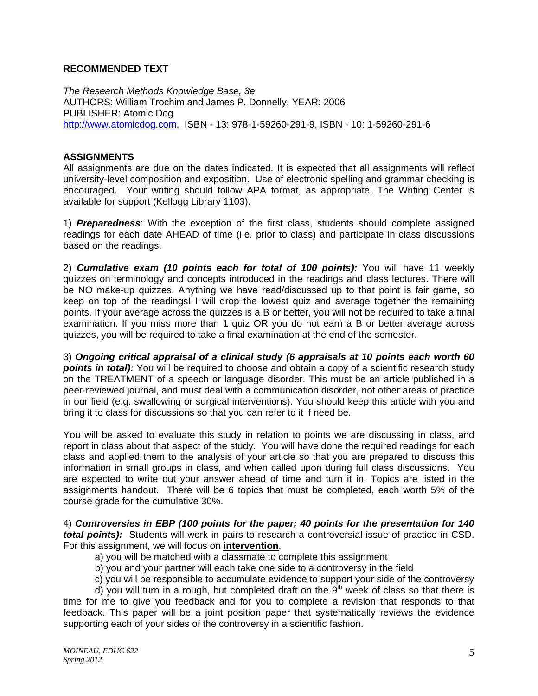## **RECOMMENDED TEXT**

*The Research Methods Knowledge Base, 3e*  AUTHORS: William Trochim and James P. Donnelly, YEAR: 2006 PUBLISHER: Atomic Dog http://www.atomicdog.com, ISBN - 13: 978-1-59260-291-9, ISBN - 10: 1-59260-291-6

### **ASSIGNMENTS**

All assignments are due on the dates indicated. It is expected that all assignments will reflect university-level composition and exposition. Use of electronic spelling and grammar checking is encouraged. Your writing should follow APA format, as appropriate. The Writing Center is available for support (Kellogg Library 1103).

1) *Preparedness*: With the exception of the first class, students should complete assigned readings for each date AHEAD of time (i.e. prior to class) and participate in class discussions based on the readings.

2) *Cumulative exam (10 points each for total of 100 points):* You will have 11 weekly quizzes on terminology and concepts introduced in the readings and class lectures. There will be NO make-up quizzes. Anything we have read/discussed up to that point is fair game, so keep on top of the readings! I will drop the lowest quiz and average together the remaining points. If your average across the quizzes is a B or better, you will not be required to take a final examination. If you miss more than 1 quiz OR you do not earn a B or better average across quizzes, you will be required to take a final examination at the end of the semester.

3) *Ongoing critical appraisal of a clinical study (6 appraisals at 10 points each worth 60*  **points in total):** You will be required to choose and obtain a copy of a scientific research study on the TREATMENT of a speech or language disorder. This must be an article published in a peer-reviewed journal, and must deal with a communication disorder, not other areas of practice in our field (e.g. swallowing or surgical interventions). You should keep this article with you and bring it to class for discussions so that you can refer to it if need be.

You will be asked to evaluate this study in relation to points we are discussing in class, and report in class about that aspect of the study. You will have done the required readings for each class and applied them to the analysis of your article so that you are prepared to discuss this information in small groups in class, and when called upon during full class discussions. You are expected to write out your answer ahead of time and turn it in. Topics are listed in the assignments handout. There will be 6 topics that must be completed, each worth 5% of the course grade for the cumulative 30%.

4) *Controversies in EBP (100 points for the paper; 40 points for the presentation for 140 total points):* Students will work in pairs to research a controversial issue of practice in CSD. For this assignment, we will focus on **intervention**.

- a) you will be matched with a classmate to complete this assignment
- b) you and your partner will each take one side to a controversy in the field
- c) you will be responsible to accumulate evidence to support your side of the controversy

d) you will turn in a rough, but completed draft on the  $9<sup>th</sup>$  week of class so that there is time for me to give you feedback and for you to complete a revision that responds to that feedback. This paper will be a joint position paper that systematically reviews the evidence supporting each of your sides of the controversy in a scientific fashion.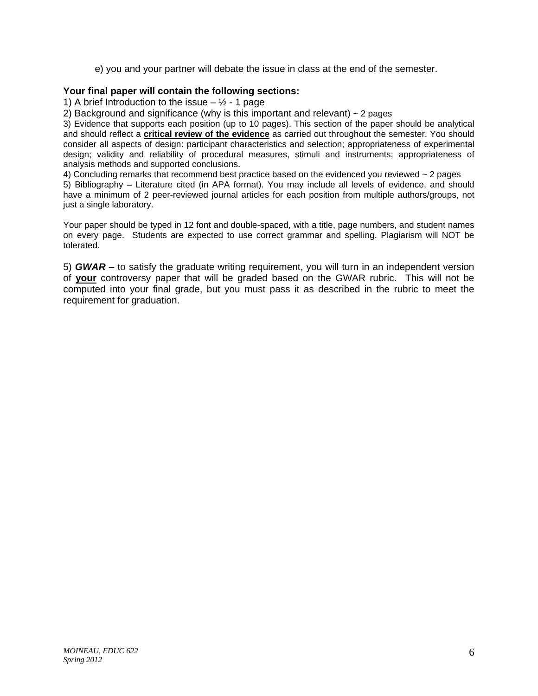e) you and your partner will debate the issue in class at the end of the semester.

## **Your final paper will contain the following sections:**

1) A brief Introduction to the issue  $\frac{1}{2}$  - 1 page

2) Background and significance (why is this important and relevant)  $\sim$  2 pages

3) Evidence that supports each position (up to 10 pages). This section of the paper should be analytical and should reflect a **critical review of the evidence** as carried out throughout the semester. You should consider all aspects of design: participant characteristics and selection; appropriateness of experimental design; validity and reliability of procedural measures, stimuli and instruments; appropriateness of analysis methods and supported conclusions.

4) Concluding remarks that recommend best practice based on the evidenced you reviewed ~ 2 pages

5) Bibliography – Literature cited (in APA format). You may include all levels of evidence, and should have a minimum of 2 peer-reviewed journal articles for each position from multiple authors/groups, not just a single laboratory.

Your paper should be typed in 12 font and double-spaced, with a title, page numbers, and student names on every page. Students are expected to use correct grammar and spelling. Plagiarism will NOT be tolerated.

5) *GWAR* – to satisfy the graduate writing requirement, you will turn in an independent version of **your** controversy paper that will be graded based on the GWAR rubric. This will not be computed into your final grade, but you must pass it as described in the rubric to meet the requirement for graduation.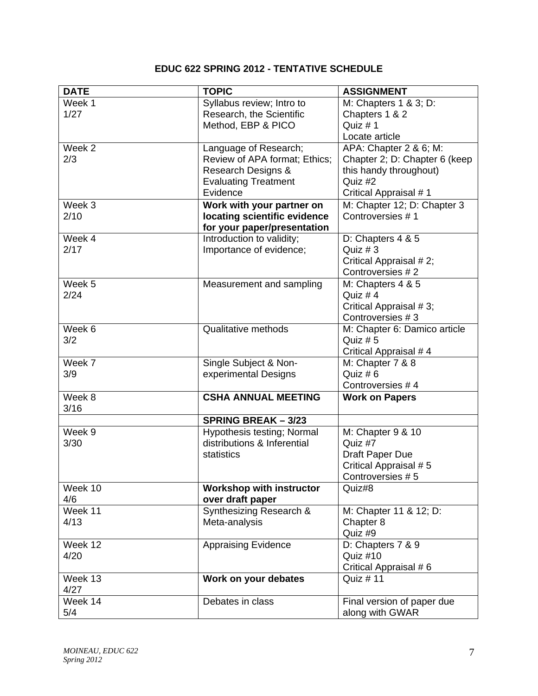# **EDUC 622 SPRING 2012 - TENTATIVE SCHEDULE**

| <b>DATE</b> | <b>TOPIC</b>                                             | <b>ASSIGNMENT</b>                        |
|-------------|----------------------------------------------------------|------------------------------------------|
| Week 1      | Syllabus review; Intro to                                | M: Chapters 1 & 3; D:                    |
| 1/27        | Research, the Scientific                                 | Chapters 1 & 2                           |
|             | Method, EBP & PICO                                       | Quiz #1                                  |
|             |                                                          | Locate article                           |
| Week 2      | Language of Research;                                    | APA: Chapter 2 & 6; M:                   |
| 2/3         | Review of APA format; Ethics;                            | Chapter 2; D: Chapter 6 (keep            |
|             | Research Designs &                                       | this handy throughout)                   |
|             | <b>Evaluating Treatment</b>                              | Quiz #2                                  |
|             | Evidence                                                 | Critical Appraisal #1                    |
| Week 3      | Work with your partner on                                | M: Chapter 12; D: Chapter 3              |
| 2/10        | locating scientific evidence                             | Controversies #1                         |
| Week 4      | for your paper/presentation<br>Introduction to validity; |                                          |
| 2/17        | Importance of evidence;                                  | D: Chapters 4 & 5<br>Quiz $# 3$          |
|             |                                                          | Critical Appraisal #2;                   |
|             |                                                          | Controversies #2                         |
| Week 5      | Measurement and sampling                                 | M: Chapters 4 & 5                        |
| 2/24        |                                                          | Quiz $# 4$                               |
|             |                                                          | Critical Appraisal #3;                   |
|             |                                                          | Controversies #3                         |
| Week 6      | Qualitative methods                                      | M: Chapter 6: Damico article             |
| 3/2         |                                                          | Quiz $# 5$                               |
|             |                                                          | Critical Appraisal # 4                   |
| Week 7      | Single Subject & Non-                                    | M: Chapter 7 & 8                         |
| 3/9         | experimental Designs                                     | Quiz #6                                  |
|             |                                                          | Controversies #4                         |
| Week 8      | <b>CSHA ANNUAL MEETING</b>                               | <b>Work on Papers</b>                    |
| 3/16        |                                                          |                                          |
|             | <b>SPRING BREAK - 3/23</b>                               |                                          |
| Week 9      | Hypothesis testing; Normal                               | M: Chapter 9 & 10                        |
| 3/30        | distributions & Inferential<br>statistics                | Quiz #7                                  |
|             |                                                          | Draft Paper Due<br>Critical Appraisal #5 |
|             |                                                          | Controversies #5                         |
| Week 10     | <b>Workshop with instructor</b>                          | Quiz#8                                   |
| 4/6         | over draft paper                                         |                                          |
| Week 11     | Synthesizing Research &                                  | M: Chapter 11 & 12; D:                   |
| 4/13        | Meta-analysis                                            | Chapter 8                                |
|             |                                                          | Quiz #9                                  |
| Week 12     | <b>Appraising Evidence</b>                               | D: Chapters 7 & 9                        |
| 4/20        |                                                          | Quiz #10                                 |
|             |                                                          | Critical Appraisal #6                    |
| Week 13     | Work on your debates                                     | Quiz # 11                                |
| 4/27        |                                                          |                                          |
| Week 14     | Debates in class                                         | Final version of paper due               |
| 5/4         |                                                          | along with GWAR                          |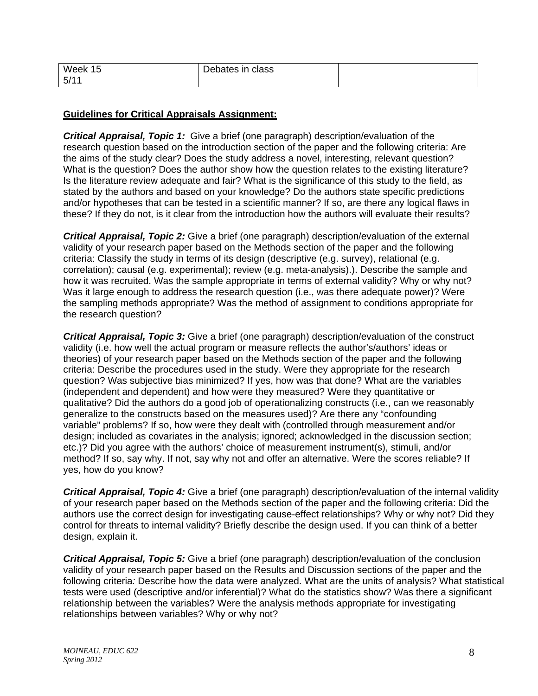| Week<br>15 <sup>1</sup> | Debates in class |  |
|-------------------------|------------------|--|
| 5/1                     |                  |  |

## **Guidelines for Critical Appraisals Assignment:**

*Critical Appraisal, Topic 1:* Give a brief (one paragraph) description/evaluation of the research question based on the introduction section of the paper and the following criteria: Are the aims of the study clear? Does the study address a novel, interesting, relevant question? What is the question? Does the author show how the question relates to the existing literature? Is the literature review adequate and fair? What is the significance of this study to the field, as stated by the authors and based on your knowledge? Do the authors state specific predictions and/or hypotheses that can be tested in a scientific manner? If so, are there any logical flaws in these? If they do not, is it clear from the introduction how the authors will evaluate their results?

*Critical Appraisal, Topic 2:* Give a brief (one paragraph) description/evaluation of the external validity of your research paper based on the Methods section of the paper and the following criteria: Classify the study in terms of its design (descriptive (e.g. survey), relational (e.g. correlation); causal (e.g. experimental); review (e.g. meta-analysis).). Describe the sample and how it was recruited. Was the sample appropriate in terms of external validity? Why or why not? Was it large enough to address the research question (i.e., was there adequate power)? Were the sampling methods appropriate? Was the method of assignment to conditions appropriate for the research question?

*Critical Appraisal, Topic 3:* Give a brief (one paragraph) description/evaluation of the construct validity (i.e. how well the actual program or measure reflects the author's/authors' ideas or theories) of your research paper based on the Methods section of the paper and the following criteria: Describe the procedures used in the study. Were they appropriate for the research question? Was subjective bias minimized? If yes, how was that done? What are the variables (independent and dependent) and how were they measured? Were they quantitative or qualitative? Did the authors do a good job of operationalizing constructs (i.e., can we reasonably generalize to the constructs based on the measures used)? Are there any "confounding variable" problems? If so, how were they dealt with (controlled through measurement and/or design; included as covariates in the analysis; ignored; acknowledged in the discussion section; etc.)? Did you agree with the authors' choice of measurement instrument(s), stimuli, and/or method? If so, say why. If not, say why not and offer an alternative. Were the scores reliable? If yes, how do you know?

*Critical Appraisal, Topic 4:* Give a brief (one paragraph) description/evaluation of the internal validity of your research paper based on the Methods section of the paper and the following criteria: Did the authors use the correct design for investigating cause-effect relationships? Why or why not? Did they control for threats to internal validity? Briefly describe the design used. If you can think of a better design, explain it.

*Critical Appraisal, Topic 5:* Give a brief (one paragraph) description/evaluation of the conclusion validity of your research paper based on the Results and Discussion sections of the paper and the following criteria*:* Describe how the data were analyzed. What are the units of analysis? What statistical tests were used (descriptive and/or inferential)? What do the statistics show? Was there a significant relationship between the variables? Were the analysis methods appropriate for investigating relationships between variables? Why or why not?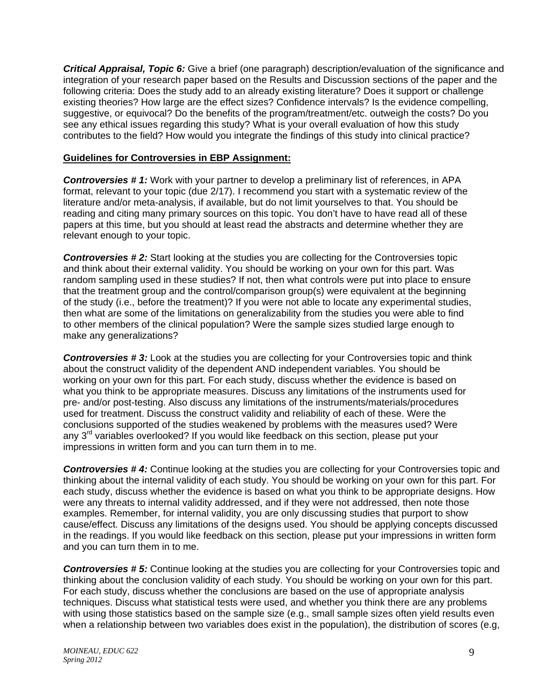*Critical Appraisal, Topic 6:* Give a brief (one paragraph) description/evaluation of the significance and integration of your research paper based on the Results and Discussion sections of the paper and the following criteria: Does the study add to an already existing literature? Does it support or challenge existing theories? How large are the effect sizes? Confidence intervals? Is the evidence compelling, suggestive, or equivocal? Do the benefits of the program/treatment/etc. outweigh the costs? Do you see any ethical issues regarding this study? What is your overall evaluation of how this study contributes to the field? How would you integrate the findings of this study into clinical practice?

### **Guidelines for Controversies in EBP Assignment:**

*Controversies # 1:* Work with your partner to develop a preliminary list of references, in APA format, relevant to your topic (due 2/17). I recommend you start with a systematic review of the literature and/or meta-analysis, if available, but do not limit yourselves to that. You should be reading and citing many primary sources on this topic. You don't have to have read all of these papers at this time, but you should at least read the abstracts and determine whether they are relevant enough to your topic.

*Controversies # 2:* Start looking at the studies you are collecting for the Controversies topic and think about their external validity. You should be working on your own for this part. Was random sampling used in these studies? If not, then what controls were put into place to ensure that the treatment group and the control/comparison group(s) were equivalent at the beginning of the study (i.e., before the treatment)? If you were not able to locate any experimental studies, then what are some of the limitations on generalizability from the studies you were able to find to other members of the clinical population? Were the sample sizes studied large enough to make any generalizations?

**Controversies #3:** Look at the studies you are collecting for your Controversies topic and think about the construct validity of the dependent AND independent variables. You should be working on your own for this part. For each study, discuss whether the evidence is based on what you think to be appropriate measures. Discuss any limitations of the instruments used for pre- and/or post-testing. Also discuss any limitations of the instruments/materials/procedures used for treatment. Discuss the construct validity and reliability of each of these. Were the conclusions supported of the studies weakened by problems with the measures used? Were any 3<sup>rd</sup> variables overlooked? If you would like feedback on this section, please put your impressions in written form and you can turn them in to me.

*Controversies # 4:* Continue looking at the studies you are collecting for your Controversies topic and thinking about the internal validity of each study. You should be working on your own for this part. For each study, discuss whether the evidence is based on what you think to be appropriate designs. How were any threats to internal validity addressed, and if they were not addressed, then note those examples. Remember, for internal validity, you are only discussing studies that purport to show cause/effect. Discuss any limitations of the designs used. You should be applying concepts discussed in the readings. If you would like feedback on this section, please put your impressions in written form and you can turn them in to me.

*Controversies # 5:* Continue looking at the studies you are collecting for your Controversies topic and thinking about the conclusion validity of each study. You should be working on your own for this part. For each study, discuss whether the conclusions are based on the use of appropriate analysis techniques. Discuss what statistical tests were used, and whether you think there are any problems with using those statistics based on the sample size (e.g., small sample sizes often yield results even when a relationship between two variables does exist in the population), the distribution of scores (e.g,